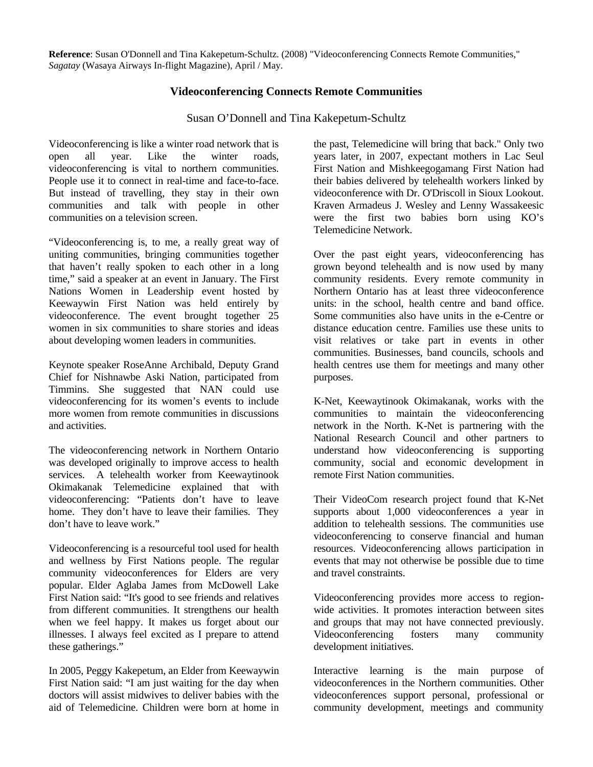**Reference**: Susan O'Donnell and Tina Kakepetum-Schultz. (2008) "Videoconferencing Connects Remote Communities," *Sagatay* (Wasaya Airways In-flight Magazine), April / May.

## **Videoconferencing Connects Remote Communities**

Susan O'Donnell and Tina Kakepetum-Schultz

Videoconferencing is like a winter road network that is open all year. Like the winter roads, videoconferencing is vital to northern communities. People use it to connect in real-time and face-to-face. But instead of travelling, they stay in their own communities and talk with people in other communities on a television screen.

"Videoconferencing is, to me, a really great way of uniting communities, bringing communities together that haven't really spoken to each other in a long time," said a speaker at an event in January. The First Nations Women in Leadership event hosted by Keewaywin First Nation was held entirely by videoconference. The event brought together 25 women in six communities to share stories and ideas about developing women leaders in communities.

Keynote speaker RoseAnne Archibald, Deputy Grand Chief for Nishnawbe Aski Nation, participated from Timmins. She suggested that NAN could use videoconferencing for its women's events to include more women from remote communities in discussions and activities.

The videoconferencing network in Northern Ontario was developed originally to improve access to health services. A telehealth worker from Keewaytinook Okimakanak Telemedicine explained that with videoconferencing: "Patients don't have to leave home. They don't have to leave their families. They don't have to leave work."

Videoconferencing is a resourceful tool used for health and wellness by First Nations people. The regular community videoconferences for Elders are very popular. Elder Aglaba James from McDowell Lake First Nation said: "It's good to see friends and relatives from different communities. It strengthens our health when we feel happy. It makes us forget about our illnesses. I always feel excited as I prepare to attend these gatherings."

In 2005, Peggy Kakepetum, an Elder from Keewaywin First Nation said: "I am just waiting for the day when doctors will assist midwives to deliver babies with the aid of Telemedicine. Children were born at home in

the past, Telemedicine will bring that back." Only two years later, in 2007, expectant mothers in Lac Seul First Nation and Mishkeegogamang First Nation had their babies delivered by telehealth workers linked by videoconference with Dr. O'Driscoll in Sioux Lookout. Kraven Armadeus J. Wesley and Lenny Wassakeesic were the first two babies born using KO's Telemedicine Network.

Over the past eight years, videoconferencing has grown beyond telehealth and is now used by many community residents. Every remote community in Northern Ontario has at least three videoconference units: in the school, health centre and band office. Some communities also have units in the e-Centre or distance education centre. Families use these units to visit relatives or take part in events in other communities. Businesses, band councils, schools and health centres use them for meetings and many other purposes.

K-Net, Keewaytinook Okimakanak, works with the communities to maintain the videoconferencing network in the North. K-Net is partnering with the National Research Council and other partners to understand how videoconferencing is supporting community, social and economic development in remote First Nation communities.

Their VideoCom research project found that K-Net supports about 1,000 videoconferences a year in addition to telehealth sessions. The communities use videoconferencing to conserve financial and human resources. Videoconferencing allows participation in events that may not otherwise be possible due to time and travel constraints.

Videoconferencing provides more access to regionwide activities. It promotes interaction between sites and groups that may not have connected previously. Videoconferencing fosters many community development initiatives.

Interactive learning is the main purpose of videoconferences in the Northern communities. Other videoconferences support personal, professional or community development, meetings and community